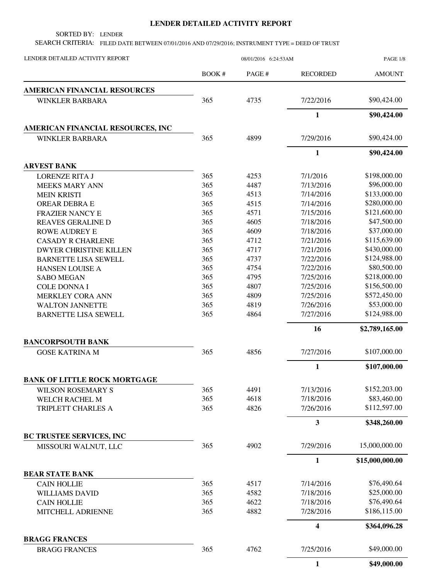## **LENDER DETAILED ACTIVITY REPORT**

SORTED BY: LENDER

SEARCH CRITERIA: FILED DATE BETWEEN 07/01/2016 AND 07/29/2016; INSTRUMENT TYPE = DEED OF TRUST

| LENDER DETAILED ACTIVITY REPORT     | 08/01/2016 6:24:53AM |        |                         | PAGE 1/8        |  |
|-------------------------------------|----------------------|--------|-------------------------|-----------------|--|
|                                     | BOOK#                | PAGE # | <b>RECORDED</b>         | <b>AMOUNT</b>   |  |
| <b>AMERICAN FINANCIAL RESOURCES</b> |                      |        |                         |                 |  |
| <b>WINKLER BARBARA</b>              | 365                  | 4735   | 7/22/2016               | \$90,424.00     |  |
|                                     |                      |        | $\mathbf{1}$            | \$90,424.00     |  |
| AMERICAN FINANCIAL RESOURCES, INC   |                      |        |                         |                 |  |
| <b>WINKLER BARBARA</b>              | 365                  | 4899   | 7/29/2016               | \$90,424.00     |  |
|                                     |                      |        | $\mathbf{1}$            | \$90,424.00     |  |
| <b>ARVEST BANK</b>                  |                      |        |                         |                 |  |
| <b>LORENZE RITA J</b>               | 365                  | 4253   | 7/1/2016                | \$198,000.00    |  |
| <b>MEEKS MARY ANN</b>               | 365                  | 4487   | 7/13/2016               | \$96,000.00     |  |
| <b>MEIN KRISTI</b>                  | 365                  | 4513   | 7/14/2016               | \$133,000.00    |  |
| <b>OREAR DEBRA E</b>                | 365                  | 4515   | 7/14/2016               | \$280,000.00    |  |
| <b>FRAZIER NANCY E</b>              | 365                  | 4571   | 7/15/2016               | \$121,600.00    |  |
| <b>REAVES GERALINE D</b>            | 365                  | 4605   | 7/18/2016               | \$47,500.00     |  |
| <b>ROWE AUDREY E</b>                | 365                  | 4609   | 7/18/2016               | \$37,000.00     |  |
| <b>CASADY R CHARLENE</b>            | 365                  | 4712   | 7/21/2016               | \$115,639.00    |  |
| <b>DWYER CHRISTINE KILLEN</b>       | 365                  | 4717   | 7/21/2016               | \$430,000.00    |  |
| <b>BARNETTE LISA SEWELL</b>         | 365                  | 4737   | 7/22/2016               | \$124,988.00    |  |
| HANSEN LOUISE A                     | 365                  | 4754   | 7/22/2016               | \$80,500.00     |  |
| <b>SABO MEGAN</b>                   | 365                  | 4795   | 7/25/2016               | \$218,000.00    |  |
| <b>COLE DONNA I</b>                 | 365                  | 4807   | 7/25/2016               | \$156,500.00    |  |
| MERKLEY CORA ANN                    | 365                  | 4809   | 7/25/2016               | \$572,450.00    |  |
| <b>WALTON JANNETTE</b>              | 365                  | 4819   | 7/26/2016               | \$53,000.00     |  |
| <b>BARNETTE LISA SEWELL</b>         | 365                  | 4864   | 7/27/2016               | \$124,988.00    |  |
|                                     |                      |        | 16                      | \$2,789,165.00  |  |
| <b>BANCORPSOUTH BANK</b>            |                      |        |                         |                 |  |
| <b>GOSE KATRINA M</b>               | 365                  | 4856   | 7/27/2016               | \$107,000.00    |  |
|                                     |                      |        | 1                       | \$107,000.00    |  |
| <b>BANK OF LITTLE ROCK MORTGAGE</b> |                      |        |                         |                 |  |
| WILSON ROSEMARY S                   | 365                  | 4491   | 7/13/2016               | \$152,203.00    |  |
| WELCH RACHEL M                      | 365                  | 4618   | 7/18/2016               | \$83,460.00     |  |
| TRIPLETT CHARLES A                  | 365                  | 4826   | 7/26/2016               | \$112,597.00    |  |
|                                     |                      |        | $\overline{\mathbf{3}}$ | \$348,260.00    |  |
| <b>BC TRUSTEE SERVICES, INC</b>     |                      |        |                         |                 |  |
| MISSOURI WALNUT, LLC                | 365                  | 4902   | 7/29/2016               | 15,000,000.00   |  |
|                                     |                      |        | $\mathbf{1}$            | \$15,000,000.00 |  |
| <b>BEAR STATE BANK</b>              |                      |        |                         |                 |  |
| <b>CAIN HOLLIE</b>                  | 365                  | 4517   | 7/14/2016               | \$76,490.64     |  |
| <b>WILLIAMS DAVID</b>               | 365                  | 4582   | 7/18/2016               | \$25,000.00     |  |
| <b>CAIN HOLLIE</b>                  | 365                  | 4622   | 7/18/2016               | \$76,490.64     |  |
| MITCHELL ADRIENNE                   | 365                  | 4882   | 7/28/2016               | \$186,115.00    |  |
|                                     |                      |        | $\overline{\mathbf{4}}$ | \$364,096.28    |  |
| <b>BRAGG FRANCES</b>                |                      |        |                         |                 |  |
| <b>BRAGG FRANCES</b>                | 365                  | 4762   | 7/25/2016               | \$49,000.00     |  |
|                                     |                      |        | 1                       | \$49,000.00     |  |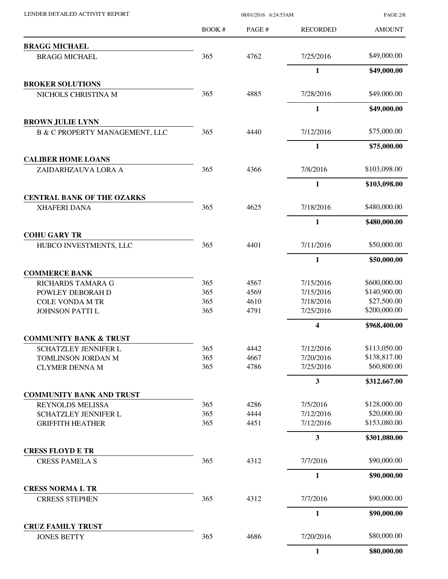| LENDER DETAILED ACTIVITY REPORT                                  |       | <b>PAGE 2/8</b> |                 |               |
|------------------------------------------------------------------|-------|-----------------|-----------------|---------------|
|                                                                  | BOOK# | PAGE #          | <b>RECORDED</b> | <b>AMOUNT</b> |
| <b>BRAGG MICHAEL</b>                                             |       |                 |                 |               |
| <b>BRAGG MICHAEL</b>                                             | 365   | 4762            | 7/25/2016       | \$49,000.00   |
|                                                                  |       |                 | 1               | \$49,000.00   |
| <b>BROKER SOLUTIONS</b>                                          |       |                 |                 |               |
| NICHOLS CHRISTINA M                                              | 365   | 4885            | 7/28/2016       | \$49,000.00   |
| <b>BROWN JULIE LYNN</b>                                          |       |                 | $\mathbf{1}$    | \$49,000.00   |
| <b>B &amp; C PROPERTY MANAGEMENT, LLC</b>                        | 365   | 4440            | 7/12/2016       | \$75,000.00   |
|                                                                  |       |                 | 1               | \$75,000.00   |
| <b>CALIBER HOME LOANS</b>                                        |       |                 |                 |               |
| ZAIDARHZAUVA LORA A                                              | 365   | 4366            | 7/8/2016        | \$103,098.00  |
|                                                                  |       |                 | $\mathbf{1}$    | \$103,098.00  |
| <b>CENTRAL BANK OF THE OZARKS</b><br><b>XHAFERI DANA</b>         | 365   | 4625            | 7/18/2016       | \$480,000.00  |
|                                                                  |       |                 |                 |               |
| <b>COHU GARY TR</b>                                              |       |                 | $\mathbf{1}$    | \$480,000.00  |
| HUBCO INVESTMENTS, LLC                                           | 365   | 4401            | 7/11/2016       | \$50,000.00   |
|                                                                  |       |                 | 1               | \$50,000.00   |
| <b>COMMERCE BANK</b>                                             |       |                 |                 |               |
| RICHARDS TAMARA G                                                | 365   | 4567            | 7/15/2016       | \$600,000.00  |
| POWLEY DEBORAH D                                                 | 365   | 4569            | 7/15/2016       | \$140,900.00  |
| <b>COLE VONDA M TR</b>                                           | 365   | 4610            | 7/18/2016       | \$27,500.00   |
| <b>JOHNSON PATTI L</b>                                           | 365   | 4791            | 7/25/2016       | \$200,000.00  |
|                                                                  |       |                 | 4               | \$968,400.00  |
| <b>COMMUNITY BANK &amp; TRUST</b><br><b>SCHATZLEY JENNIFER L</b> | 365   | 4442            | 7/12/2016       | \$113,050.00  |
| TOMLINSON JORDAN M                                               | 365   | 4667            | 7/20/2016       | \$138,817.00  |
| <b>CLYMER DENNA M</b>                                            | 365   | 4786            | 7/25/2016       | \$60,800.00   |
|                                                                  |       |                 | 3               | \$312,667.00  |
| <b>COMMUNITY BANK AND TRUST</b>                                  |       |                 |                 |               |
| <b>REYNOLDS MELISSA</b>                                          | 365   | 4286            | 7/5/2016        | \$128,000.00  |
| SCHATZLEY JENNIFER L                                             | 365   | 4444            | 7/12/2016       | \$20,000.00   |
| <b>GRIFFITH HEATHER</b>                                          | 365   | 4451            | 7/12/2016       | \$153,080.00  |
|                                                                  |       |                 | 3               | \$301,080.00  |
| <b>CRESS FLOYD E TR</b>                                          | 365   | 4312            | 7/7/2016        | \$90,000.00   |
| <b>CRESS PAMELA S</b>                                            |       |                 |                 |               |
| <b>CRESS NORMA L TR</b>                                          |       |                 | 1               | \$90,000.00   |
| <b>CRRESS STEPHEN</b>                                            | 365   | 4312            | 7/7/2016        | \$90,000.00   |
|                                                                  |       |                 | $\mathbf{1}$    | \$90,000.00   |
| <b>CRUZ FAMILY TRUST</b>                                         |       |                 |                 |               |
| <b>JONES BETTY</b>                                               | 365   | 4686            | 7/20/2016       | \$80,000.00   |
|                                                                  |       |                 | $\mathbf{1}$    | \$80,000.00   |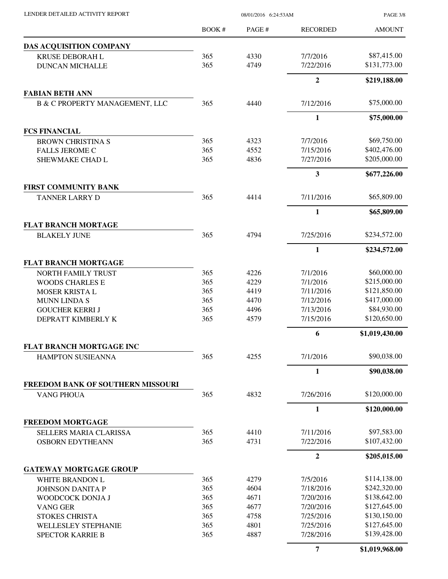PAGE 3/8

|                                                   | BOOK#      | PAGE#        | <b>RECORDED</b>        | <b>AMOUNT</b>                |
|---------------------------------------------------|------------|--------------|------------------------|------------------------------|
| <b>DAS ACQUISITION COMPANY</b>                    |            |              |                        |                              |
| <b>KRUSE DEBORAH L</b>                            | 365        | 4330         | 7/7/2016               | \$87,415.00                  |
| <b>DUNCAN MICHALLE</b>                            | 365        | 4749         | 7/22/2016              | \$131,773.00                 |
|                                                   |            |              | $\overline{2}$         | \$219,188.00                 |
| <b>FABIAN BETH ANN</b>                            |            |              |                        |                              |
| <b>B &amp; C PROPERTY MANAGEMENT, LLC</b>         | 365        | 4440         | 7/12/2016              | \$75,000.00                  |
|                                                   |            |              | $\mathbf{1}$           | \$75,000.00                  |
| <b>FCS FINANCIAL</b>                              |            |              |                        |                              |
| <b>BROWN CHRISTINA S</b>                          | 365        | 4323         | 7/7/2016               | \$69,750.00                  |
| <b>FALLS JEROME C</b>                             | 365        | 4552         | 7/15/2016              | \$402,476.00                 |
| SHEWMAKE CHAD L                                   | 365        | 4836         | 7/27/2016              | \$205,000.00                 |
|                                                   |            |              | 3                      | \$677,226.00                 |
| <b>FIRST COMMUNITY BANK</b>                       |            |              |                        |                              |
| <b>TANNER LARRY D</b>                             | 365        | 4414         | 7/11/2016              | \$65,809.00                  |
|                                                   |            |              | $\mathbf{1}$           | \$65,809.00                  |
| <b>FLAT BRANCH MORTAGE</b>                        |            |              |                        |                              |
| <b>BLAKELY JUNE</b>                               | 365        | 4794         | 7/25/2016              | \$234,572.00                 |
|                                                   |            |              | $\mathbf{1}$           | \$234,572.00                 |
| <b>FLAT BRANCH MORTGAGE</b>                       |            |              |                        |                              |
| NORTH FAMILY TRUST                                | 365        | 4226         | 7/1/2016               | \$60,000.00                  |
| <b>WOODS CHARLES E</b>                            | 365<br>365 | 4229<br>4419 | 7/1/2016<br>7/11/2016  | \$215,000.00<br>\$121,850.00 |
| MOSER KRISTA L<br><b>MUNN LINDA S</b>             | 365        | 4470         | 7/12/2016              | \$417,000.00                 |
| <b>GOUCHER KERRI J</b>                            | 365        | 4496         | 7/13/2016              | \$84,930.00                  |
| DEPRATT KIMBERLY K                                | 365        | 4579         | 7/15/2016              | \$120,650.00                 |
|                                                   |            |              | 6                      | \$1,019,430.00               |
| FLAT BRANCH MORTGAGE INC                          |            |              |                        |                              |
| HAMPTON SUSIEANNA                                 | 365        | 4255         | 7/1/2016               | \$90,038.00                  |
|                                                   |            |              | 1                      | \$90,038.00                  |
| FREEDOM BANK OF SOUTHERN MISSOURI                 |            |              |                        |                              |
| <b>VANG PHOUA</b>                                 | 365        | 4832         | 7/26/2016              | \$120,000.00                 |
|                                                   |            |              | $\mathbf{1}$           | \$120,000.00                 |
| <b>FREEDOM MORTGAGE</b>                           |            |              |                        |                              |
| SELLERS MARIA CLARISSA<br><b>OSBORN EDYTHEANN</b> | 365<br>365 | 4410<br>4731 | 7/11/2016<br>7/22/2016 | \$97,583.00<br>\$107,432.00  |
|                                                   |            |              |                        |                              |
|                                                   |            |              | $\overline{2}$         | \$205,015.00                 |
| <b>GATEWAY MORTGAGE GROUP</b>                     | 365        | 4279         | 7/5/2016               | \$114,138.00                 |
| WHITE BRANDON L<br><b>JOHNSON DANITA P</b>        | 365        | 4604         | 7/18/2016              | \$242,320.00                 |
| WOODCOCK DONJA J                                  | 365        | 4671         | 7/20/2016              | \$138,642.00                 |
| VANG GER                                          | 365        | 4677         | 7/20/2016              | \$127,645.00                 |
| <b>STOKES CHRISTA</b>                             | 365        | 4758         | 7/25/2016              | \$130,150.00                 |
| WELLESLEY STEPHANIE                               | 365        | 4801         | 7/25/2016              | \$127,645.00                 |
| <b>SPECTOR KARRIE B</b>                           | 365        | 4887         | 7/28/2016              | \$139,428.00                 |
|                                                   |            |              | 7                      | \$1,019,968.00               |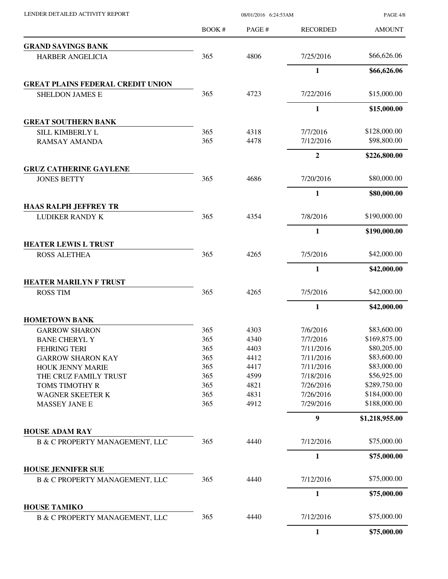| LENDER DETAILED ACTIVITY REPORT                             | 08/01/2016 6:24:53AM |        |                  | <b>PAGE 4/8</b> |  |
|-------------------------------------------------------------|----------------------|--------|------------------|-----------------|--|
|                                                             | BOOK#                | PAGE # | <b>RECORDED</b>  | <b>AMOUNT</b>   |  |
| <b>GRAND SAVINGS BANK</b>                                   |                      |        |                  |                 |  |
| HARBER ANGELICIA                                            | 365                  | 4806   | 7/25/2016        | \$66,626.06     |  |
|                                                             |                      |        | $\mathbf{1}$     | \$66,626.06     |  |
| <b>GREAT PLAINS FEDERAL CREDIT UNION</b>                    |                      |        |                  |                 |  |
| <b>SHELDON JAMES E</b>                                      | 365                  | 4723   | 7/22/2016        | \$15,000.00     |  |
|                                                             |                      |        | $\mathbf{1}$     | \$15,000.00     |  |
| <b>GREAT SOUTHERN BANK</b>                                  |                      |        |                  |                 |  |
| SILL KIMBERLY L                                             | 365                  | 4318   | 7/7/2016         | \$128,000.00    |  |
| <b>RAMSAY AMANDA</b>                                        | 365                  | 4478   | 7/12/2016        | \$98,800.00     |  |
|                                                             |                      |        | $\overline{2}$   | \$226,800.00    |  |
| <b>GRUZ CATHERINE GAYLENE</b>                               |                      |        |                  |                 |  |
| <b>JONES BETTY</b>                                          | 365                  | 4686   | 7/20/2016        | \$80,000.00     |  |
|                                                             |                      |        | $\mathbf{1}$     | \$80,000.00     |  |
| <b>HAAS RALPH JEFFREY TR</b>                                |                      |        |                  |                 |  |
| <b>LUDIKER RANDY K</b>                                      | 365                  | 4354   | 7/8/2016         | \$190,000.00    |  |
|                                                             |                      |        | 1                | \$190,000.00    |  |
| <b>HEATER LEWIS L TRUST</b>                                 |                      |        |                  |                 |  |
| <b>ROSS ALETHEA</b>                                         | 365                  | 4265   | 7/5/2016         | \$42,000.00     |  |
|                                                             |                      |        | 1                | \$42,000.00     |  |
| <b>HEATER MARILYN F TRUST</b>                               |                      |        |                  |                 |  |
| <b>ROSS TIM</b>                                             | 365                  | 4265   | 7/5/2016         | \$42,000.00     |  |
|                                                             |                      |        | $\mathbf{1}$     | \$42,000.00     |  |
| <b>HOMETOWN BANK</b>                                        |                      |        |                  |                 |  |
| <b>GARROW SHARON</b>                                        | 365                  | 4303   | 7/6/2016         | \$83,600.00     |  |
| <b>BANE CHERYL Y</b>                                        | 365                  | 4340   | 7/7/2016         | \$169,875.00    |  |
| <b>FEHRING TERI</b>                                         | 365                  | 4403   | 7/11/2016        | \$80,205.00     |  |
| <b>GARROW SHARON KAY</b>                                    | 365                  | 4412   | 7/11/2016        | \$83,600.00     |  |
| HOUK JENNY MARIE                                            | 365                  | 4417   | 7/11/2016        | \$83,000.00     |  |
| THE CRUZ FAMILY TRUST                                       | 365                  | 4599   | 7/18/2016        | \$56,925.00     |  |
| TOMS TIMOTHY R                                              | 365                  | 4821   | 7/26/2016        | \$289,750.00    |  |
| <b>WAGNER SKEETER K</b>                                     | 365                  | 4831   | 7/26/2016        | \$184,000.00    |  |
| <b>MASSEY JANE E</b>                                        | 365                  | 4912   | 7/29/2016        | \$188,000.00    |  |
|                                                             |                      |        | $\boldsymbol{9}$ | \$1,218,955.00  |  |
| <b>HOUSE ADAM RAY</b>                                       |                      |        |                  |                 |  |
| <b>B &amp; C PROPERTY MANAGEMENT, LLC</b>                   | 365                  | 4440   | 7/12/2016        | \$75,000.00     |  |
|                                                             |                      |        | $\mathbf{1}$     | \$75,000.00     |  |
| <b>HOUSE JENNIFER SUE</b><br>B & C PROPERTY MANAGEMENT, LLC | 365                  | 4440   | 7/12/2016        | \$75,000.00     |  |
|                                                             |                      |        | 1                | \$75,000.00     |  |
| <b>HOUSE TAMIKO</b>                                         |                      |        |                  |                 |  |
| B & C PROPERTY MANAGEMENT, LLC                              | 365                  | 4440   | 7/12/2016        | \$75,000.00     |  |
|                                                             |                      |        | $\mathbf{1}$     | \$75,000.00     |  |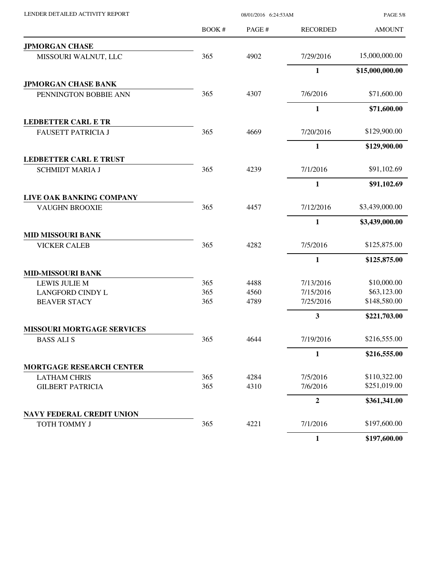| LENDER DETAILED ACTIVITY REPORT   |        | 08/01/2016 6:24:53AM | <b>PAGE 5/8</b> |                 |
|-----------------------------------|--------|----------------------|-----------------|-----------------|
|                                   | BOOK # | PAGE #               | <b>RECORDED</b> | <b>AMOUNT</b>   |
| <b>JPMORGAN CHASE</b>             |        |                      |                 |                 |
| MISSOURI WALNUT, LLC              | 365    | 4902                 | 7/29/2016       | 15,000,000.00   |
|                                   |        |                      | $\mathbf{1}$    | \$15,000,000.00 |
| <b>JPMORGAN CHASE BANK</b>        |        |                      |                 |                 |
| PENNINGTON BOBBIE ANN             | 365    | 4307                 | 7/6/2016        | \$71,600.00     |
|                                   |        |                      | $\mathbf{1}$    | \$71,600.00     |
| <b>LEDBETTER CARL E TR</b>        |        |                      |                 |                 |
| <b>FAUSETT PATRICIA J</b>         | 365    | 4669                 | 7/20/2016       | \$129,900.00    |
|                                   |        |                      | $\mathbf{1}$    | \$129,900.00    |
| <b>LEDBETTER CARL E TRUST</b>     |        |                      |                 |                 |
| <b>SCHMIDT MARIA J</b>            | 365    | 4239                 | 7/1/2016        | \$91,102.69     |
|                                   |        |                      | $\mathbf{1}$    | \$91,102.69     |
| LIVE OAK BANKING COMPANY          |        |                      |                 |                 |
| <b>VAUGHN BROOXIE</b>             | 365    | 4457                 | 7/12/2016       | \$3,439,000.00  |
|                                   |        |                      | 1               | \$3,439,000.00  |
| <b>MID MISSOURI BANK</b>          |        |                      |                 |                 |
| <b>VICKER CALEB</b>               | 365    | 4282                 | 7/5/2016        | \$125,875.00    |
|                                   |        |                      | $\mathbf{1}$    | \$125,875.00    |
| <b>MID-MISSOURI BANK</b>          |        |                      |                 |                 |
| <b>LEWIS JULIE M</b>              | 365    | 4488                 | 7/13/2016       | \$10,000.00     |
| <b>LANGFORD CINDY L</b>           | 365    | 4560                 | 7/15/2016       | \$63,123.00     |
| <b>BEAVER STACY</b>               | 365    | 4789                 | 7/25/2016       | \$148,580.00    |
|                                   |        |                      | $\mathbf{3}$    | \$221,703.00    |
| <b>MISSOURI MORTGAGE SERVICES</b> |        |                      |                 |                 |
| <b>BASS ALI S</b>                 | 365    | 4644                 | 7/19/2016       | \$216,555.00    |
|                                   |        |                      | 1               | \$216,555.00    |
| <b>MORTGAGE RESEARCH CENTER</b>   |        |                      |                 |                 |
| <b>LATHAM CHRIS</b>               | 365    | 4284                 | 7/5/2016        | \$110,322.00    |
| <b>GILBERT PATRICIA</b>           | 365    | 4310                 | 7/6/2016        | \$251,019.00    |
|                                   |        |                      | $\overline{2}$  | \$361,341.00    |
| <b>NAVY FEDERAL CREDIT UNION</b>  |        |                      |                 |                 |
| TOTH TOMMY J                      | 365    | 4221                 | 7/1/2016        | \$197,600.00    |
|                                   |        |                      | $\mathbf{1}$    | \$197,600.00    |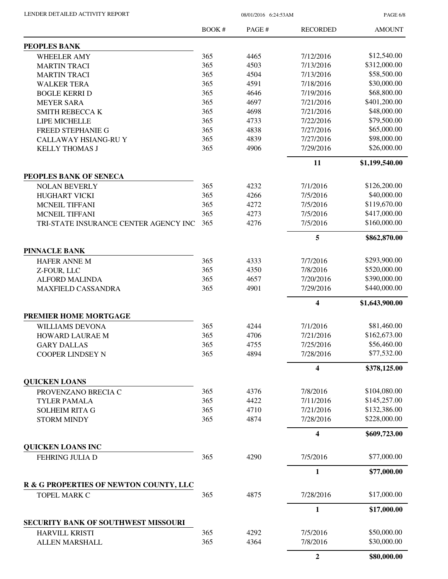LENDER DETAILED ACTIVITY REPORT 08/01/2016 6:24:53AM

PAGE 6/8

|                                                        | <b>BOOK#</b> | PAGE# | <b>RECORDED</b> | <b>AMOUNT</b>  |
|--------------------------------------------------------|--------------|-------|-----------------|----------------|
| PEOPLES BANK                                           |              |       |                 |                |
| <b>WHEELER AMY</b>                                     | 365          | 4465  | 7/12/2016       | \$12,540.00    |
| <b>MARTIN TRACI</b>                                    | 365          | 4503  | 7/13/2016       | \$312,000.00   |
| <b>MARTIN TRACI</b>                                    | 365          | 4504  | 7/13/2016       | \$58,500.00    |
| <b>WALKER TERA</b>                                     | 365          | 4591  | 7/18/2016       | \$30,000.00    |
| <b>BOGLE KERRI D</b>                                   | 365          | 4646  | 7/19/2016       | \$68,800.00    |
| <b>MEYER SARA</b>                                      | 365          | 4697  | 7/21/2016       | \$401,200.00   |
|                                                        | 365          | 4698  | 7/21/2016       | \$48,000.00    |
| <b>SMITH REBECCA K</b>                                 |              |       |                 | \$79,500.00    |
| LIPE MICHELLE                                          | 365          | 4733  | 7/22/2016       |                |
| <b>FREED STEPHANIE G</b>                               | 365          | 4838  | 7/27/2016       | \$65,000.00    |
| CALLAWAY HSIANG-RU Y                                   | 365          | 4839  | 7/27/2016       | \$98,000.00    |
| <b>KELLY THOMAS J</b>                                  | 365          | 4906  | 7/29/2016       | \$26,000.00    |
|                                                        |              |       | 11              | \$1,199,540.00 |
| PEOPLES BANK OF SENECA                                 |              |       |                 |                |
| <b>NOLAN BEVERLY</b>                                   | 365          | 4232  | 7/1/2016        | \$126,200.00   |
| HUGHART VICKI                                          | 365          | 4266  | 7/5/2016        | \$40,000.00    |
| <b>MCNEIL TIFFANI</b>                                  | 365          | 4272  | 7/5/2016        | \$119,670.00   |
| <b>MCNEIL TIFFANI</b>                                  | 365          | 4273  | 7/5/2016        | \$417,000.00   |
| TRI-STATE INSURANCE CENTER AGENCY INC                  | 365          | 4276  | 7/5/2016        | \$160,000.00   |
|                                                        |              |       | 5               | \$862,870.00   |
| <b>PINNACLE BANK</b>                                   |              |       |                 |                |
| <b>HAFER ANNE M</b>                                    | 365          | 4333  | 7/7/2016        | \$293,900.00   |
| Z-FOUR, LLC                                            | 365          | 4350  | 7/8/2016        | \$520,000.00   |
| <b>ALFORD MALINDA</b>                                  | 365          | 4657  | 7/20/2016       | \$390,000.00   |
| <b>MAXFIELD CASSANDRA</b>                              | 365          | 4901  | 7/29/2016       | \$440,000.00   |
|                                                        |              |       | 4               | \$1,643,900.00 |
| PREMIER HOME MORTGAGE                                  |              |       |                 |                |
| <b>WILLIAMS DEVONA</b>                                 | 365          | 4244  | 7/1/2016        | \$81,460.00    |
| HOWARD LAURAE M                                        | 365          | 4706  | 7/21/2016       | \$162,673.00   |
| <b>GARY DALLAS</b>                                     | 365          | 4755  | 7/25/2016       | \$56,460.00    |
| <b>COOPER LINDSEY N</b>                                | 365          | 4894  | 7/28/2016       | \$77,532.00    |
|                                                        |              |       | 4               | \$378,125.00   |
| <b>QUICKEN LOANS</b>                                   |              |       |                 |                |
| PROVENZANO BRECIA C                                    | 365          | 4376  | 7/8/2016        | \$104,080.00   |
| <b>TYLER PAMALA</b>                                    | 365          | 4422  | 7/11/2016       | \$145,257.00   |
| <b>SOLHEIM RITA G</b>                                  | 365          | 4710  | 7/21/2016       | \$132,386.00   |
| <b>STORM MINDY</b>                                     | 365          | 4874  | 7/28/2016       | \$228,000.00   |
|                                                        |              |       | 4               | \$609,723.00   |
| <b>QUICKEN LOANS INC</b>                               |              |       |                 |                |
| FEHRING JULIA D                                        | 365          | 4290  | 7/5/2016        | \$77,000.00    |
|                                                        |              |       | $\mathbf{1}$    | \$77,000.00    |
| R & G PROPERTIES OF NEWTON COUNTY, LLC<br>TOPEL MARK C | 365          | 4875  | 7/28/2016       | \$17,000.00    |
|                                                        |              |       | $\mathbf{1}$    | \$17,000.00    |
| SECURITY BANK OF SOUTHWEST MISSOURI                    |              |       |                 |                |
|                                                        | 365          | 4292  | 7/5/2016        | \$50,000.00    |
| <b>HARVILL KRISTI</b>                                  | 365          | 4364  | 7/8/2016        | \$30,000.00    |
| ALLEN MARSHALL                                         |              |       |                 |                |
|                                                        |              |       | $\overline{2}$  | \$80,000.00    |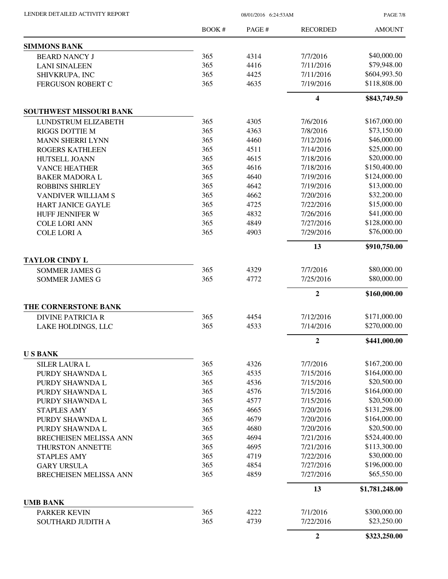LENDER DETAILED ACTIVITY REPORT 08/01/2016 6:24:53AM

PAGE 7/8

|                                | BOOK# | PAGE# | <b>RECORDED</b>         | <b>AMOUNT</b>  |
|--------------------------------|-------|-------|-------------------------|----------------|
| <b>SIMMONS BANK</b>            |       |       |                         |                |
| <b>BEARD NANCY J</b>           | 365   | 4314  | 7/7/2016                | \$40,000.00    |
| <b>LANI SINALEEN</b>           | 365   | 4416  | 7/11/2016               | \$79,948.00    |
| SHIVKRUPA, INC                 | 365   | 4425  | 7/11/2016               | \$604,993.50   |
| FERGUSON ROBERT C              | 365   | 4635  | 7/19/2016               | \$118,808.00   |
|                                |       |       | $\overline{\mathbf{4}}$ | \$843,749.50   |
| <b>SOUTHWEST MISSOURI BANK</b> |       |       |                         |                |
| LUNDSTRUM ELIZABETH            | 365   | 4305  | 7/6/2016                | \$167,000.00   |
| <b>RIGGS DOTTIE M</b>          | 365   | 4363  | 7/8/2016                | \$73,150.00    |
| <b>MANN SHERRI LYNN</b>        | 365   | 4460  | 7/12/2016               | \$46,000.00    |
| <b>ROGERS KATHLEEN</b>         | 365   | 4511  | 7/14/2016               | \$25,000.00    |
| HUTSELL JOANN                  | 365   | 4615  | 7/18/2016               | \$20,000.00    |
| <b>VANCE HEATHER</b>           | 365   | 4616  | 7/18/2016               | \$150,400.00   |
| <b>BAKER MADORA L</b>          | 365   | 4640  | 7/19/2016               | \$124,000.00   |
| <b>ROBBINS SHIRLEY</b>         | 365   | 4642  | 7/19/2016               | \$13,000.00    |
| VANDIVER WILLIAM S             | 365   | 4662  | 7/20/2016               | \$32,200.00    |
| <b>HART JANICE GAYLE</b>       | 365   | 4725  | 7/22/2016               | \$15,000.00    |
| HUFF JENNIFER W                | 365   | 4832  | 7/26/2016               | \$41,000.00    |
| <b>COLE LORI ANN</b>           | 365   | 4849  | 7/27/2016               | \$128,000.00   |
| <b>COLE LORI A</b>             | 365   | 4903  | 7/29/2016               | \$76,000.00    |
|                                |       |       | 13                      | \$910,750.00   |
| <b>TAYLOR CINDY L</b>          |       |       |                         |                |
| <b>SOMMER JAMES G</b>          | 365   | 4329  | 7/7/2016                | \$80,000.00    |
| <b>SOMMER JAMES G</b>          | 365   | 4772  | 7/25/2016               | \$80,000.00    |
|                                |       |       | $\mathbf{2}$            | \$160,000.00   |
| THE CORNERSTONE BANK           |       |       |                         |                |
| <b>DIVINE PATRICIA R</b>       | 365   | 4454  | 7/12/2016               | \$171,000.00   |
| LAKE HOLDINGS, LLC             | 365   | 4533  | 7/14/2016               | \$270,000.00   |
|                                |       |       | $\overline{2}$          | \$441,000.00   |
| <b>USBANK</b>                  |       |       |                         |                |
| <b>SILER LAURA L</b>           | 365   | 4326  | 7/7/2016                | \$167,200.00   |
| PURDY SHAWNDA L                | 365   | 4535  | 7/15/2016               | \$164,000.00   |
| PURDY SHAWNDA L                | 365   | 4536  | 7/15/2016               | \$20,500.00    |
| PURDY SHAWNDA L                | 365   | 4576  | 7/15/2016               | \$164,000.00   |
| PURDY SHAWNDA L                | 365   | 4577  | 7/15/2016               | \$20,500.00    |
| <b>STAPLES AMY</b>             | 365   | 4665  | 7/20/2016               | \$131,298.00   |
| PURDY SHAWNDA L                | 365   | 4679  | 7/20/2016               | \$164,000.00   |
| PURDY SHAWNDA L                | 365   | 4680  | 7/20/2016               | \$20,500.00    |
| BRECHEISEN MELISSA ANN         | 365   | 4694  | 7/21/2016               | \$524,400.00   |
| THURSTON ANNETTE               | 365   | 4695  | 7/21/2016               | \$113,300.00   |
| <b>STAPLES AMY</b>             | 365   | 4719  | 7/22/2016               | \$30,000.00    |
| <b>GARY URSULA</b>             | 365   | 4854  | 7/27/2016               | \$196,000.00   |
| <b>BRECHEISEN MELISSA ANN</b>  | 365   | 4859  | 7/27/2016               | \$65,550.00    |
|                                |       |       | 13                      | \$1,781,248.00 |
| <b>UMB BANK</b>                |       |       |                         |                |
| <b>PARKER KEVIN</b>            | 365   | 4222  | 7/1/2016                | \$300,000.00   |
| SOUTHARD JUDITH A              | 365   | 4739  | 7/22/2016               | \$23,250.00    |
|                                |       |       | $\overline{2}$          | \$323,250.00   |